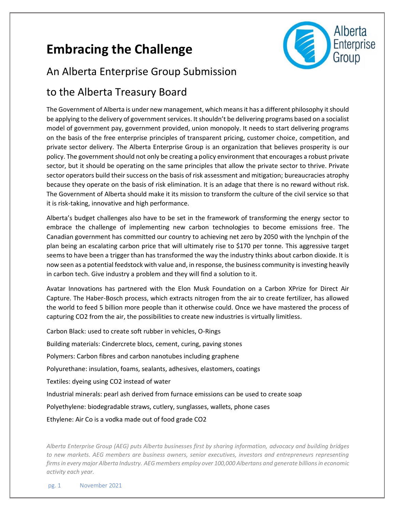# **Embracing the Challenge**



### An Alberta Enterprise Group Submission

### to the Alberta Treasury Board

The Government of Alberta is under new management, which means it has a different philosophy it should be applying to the delivery of government services. It shouldn't be delivering programs based on a socialist model of government pay, government provided, union monopoly. It needs to start delivering programs on the basis of the free enterprise principles of transparent pricing, customer choice, competition, and private sector delivery. The Alberta Enterprise Group is an organization that believes prosperity is our policy. The government should not only be creating a policy environment that encourages a robust private sector, but it should be operating on the same principles that allow the private sector to thrive. Private sector operators build their success on the basis of risk assessment and mitigation; bureaucracies atrophy because they operate on the basis of risk elimination. It is an adage that there is no reward without risk. The Government of Alberta should make it its mission to transform the culture of the civil service so that it is risk-taking, innovative and high performance.

Alberta's budget challenges also have to be set in the framework of transforming the energy sector to embrace the challenge of implementing new carbon technologies to become emissions free. The Canadian government has committed our country to achieving net zero by 2050 with the lynchpin of the plan being an escalating carbon price that will ultimately rise to \$170 per tonne. This aggressive target seems to have been a trigger than has transformed the way the industry thinks about carbon dioxide. It is now seen as a potential feedstock with value and, in response, the business community is investing heavily in carbon tech. Give industry a problem and they will find a solution to it.

Avatar Innovations has partnered with the Elon Musk Foundation on a Carbon XPrize for Direct Air Capture. The Haber-Bosch process, which extracts nitrogen from the air to create fertilizer, has allowed the world to feed 5 billion more people than it otherwise could. Once we have mastered the process of capturing CO2 from the air, the possibilities to create new industries is virtually limitless.

Carbon Black: used to create soft rubber in vehicles, O-Rings Building materials: Cindercrete blocs, cement, curing, paving stones Polymers: Carbon fibres and carbon nanotubes including graphene Polyurethane: insulation, foams, sealants, adhesives, elastomers, coatings Textiles: dyeing using CO2 instead of water Industrial minerals: pearl ash derived from furnace emissions can be used to create soap Polyethylene: biodegradable straws, cutlery, sunglasses, wallets, phone cases Ethylene: Air Co is a vodka made out of food grade CO2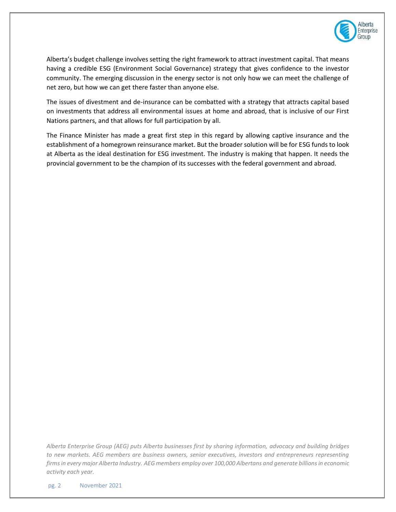

Alberta's budget challenge involves setting the right framework to attract investment capital. That means having a credible ESG (Environment Social Governance) strategy that gives confidence to the investor community. The emerging discussion in the energy sector is not only how we can meet the challenge of net zero, but how we can get there faster than anyone else.

The issues of divestment and de-insurance can be combatted with a strategy that attracts capital based on investments that address all environmental issues at home and abroad, that is inclusive of our First Nations partners, and that allows for full participation by all.

The Finance Minister has made a great first step in this regard by allowing captive insurance and the establishment of a homegrown reinsurance market. But the broader solution will be for ESG funds to look at Alberta as the ideal destination for ESG investment. The industry is making that happen. It needs the provincial government to be the champion of its successes with the federal government and abroad.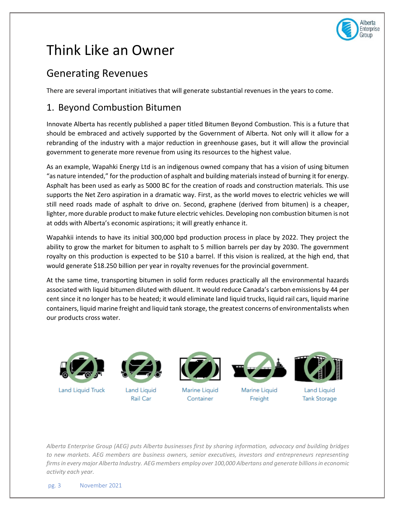

# Think Like an Owner

### Generating Revenues

There are several important initiatives that will generate substantial revenues in the years to come.

### 1. Beyond Combustion Bitumen

Innovate Alberta has recently published a paper titled Bitumen Beyond Combustion. This is a future that should be embraced and actively supported by the Government of Alberta. Not only will it allow for a rebranding of the industry with a major reduction in greenhouse gases, but it will allow the provincial government to generate more revenue from using its resources to the highest value.

As an example, Wapahki Energy Ltd is an indigenous owned company that has a vision of using bitumen "as nature intended," for the production of asphalt and building materials instead of burning it for energy. Asphalt has been used as early as 5000 BC for the creation of roads and construction materials. This use supports the Net Zero aspiration in a dramatic way. First, as the world moves to electric vehicles we will still need roads made of asphalt to drive on. Second, graphene (derived from bitumen) is a cheaper, lighter, more durable product to make future electric vehicles. Developing non combustion bitumen is not at odds with Alberta's economic aspirations; it will greatly enhance it.

Wapahkii intends to have its initial 300,000 bpd production process in place by 2022. They project the ability to grow the market for bitumen to asphalt to 5 million barrels per day by 2030. The government royalty on this production is expected to be \$10 a barrel. If this vision is realized, at the high end, that would generate \$18.250 billion per year in royalty revenues for the provincial government.

At the same time, transporting bitumen in solid form reduces practically all the environmental hazards associated with liquid bitumen diluted with diluent. It would reduce Canada's carbon emissions by 44 per cent since it no longer has to be heated; it would eliminate land liquid trucks, liquid rail cars, liquid marine containers, liquid marine freight and liquid tank storage, the greatest concerns of environmentalists when our products cross water.



**Land Liquid Truck** 



Land Liquid Rail Car



Marine Liquid Container



Marine Liquid Freight



**Land Liquid Tank Storage**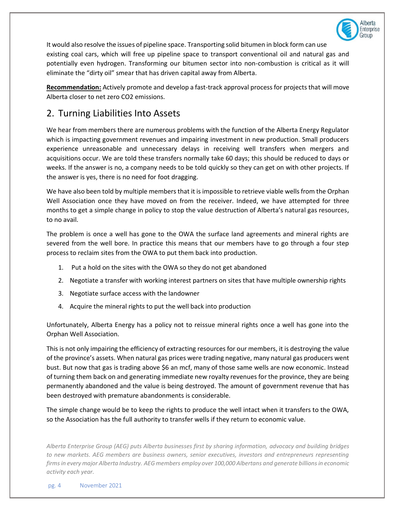

It would also resolve the issues of pipeline space. Transporting solid bitumen in block form can use existing coal cars, which will free up pipeline space to transport conventional oil and natural gas and potentially even hydrogen. Transforming our bitumen sector into non-combustion is critical as it will eliminate the "dirty oil" smear that has driven capital away from Alberta.

**Recommendation:** Actively promote and develop a fast-track approval process for projects that will move Alberta closer to net zero CO2 emissions.

#### 2. Turning Liabilities Into Assets

We hear from members there are numerous problems with the function of the Alberta Energy Regulator which is impacting government revenues and impairing investment in new production. Small producers experience unreasonable and unnecessary delays in receiving well transfers when mergers and acquisitions occur. We are told these transfers normally take 60 days; this should be reduced to days or weeks. If the answer is no, a company needs to be told quickly so they can get on with other projects. If the answer is yes, there is no need for foot dragging.

We have also been told by multiple members that it is impossible to retrieve viable wells from the Orphan Well Association once they have moved on from the receiver. Indeed, we have attempted for three months to get a simple change in policy to stop the value destruction of Alberta's natural gas resources, to no avail.

The problem is once a well has gone to the OWA the surface land agreements and mineral rights are severed from the well bore. In practice this means that our members have to go through a four step process to reclaim sites from the OWA to put them back into production.

- 1. Put a hold on the sites with the OWA so they do not get abandoned
- 2. Negotiate a transfer with working interest partners on sites that have multiple ownership rights
- 3. Negotiate surface access with the landowner
- 4. Acquire the mineral rights to put the well back into production

Unfortunately, Alberta Energy has a policy not to reissue mineral rights once a well has gone into the Orphan Well Association.

This is not only impairing the efficiency of extracting resources for our members, it is destroying the value of the province's assets. When natural gas prices were trading negative, many natural gas producers went bust. But now that gas is trading above \$6 an mcf, many of those same wells are now economic. Instead of turning them back on and generating immediate new royalty revenues for the province, they are being permanently abandoned and the value is being destroyed. The amount of government revenue that has been destroyed with premature abandonments is considerable.

The simple change would be to keep the rights to produce the well intact when it transfers to the OWA, so the Association has the full authority to transfer wells if they return to economic value.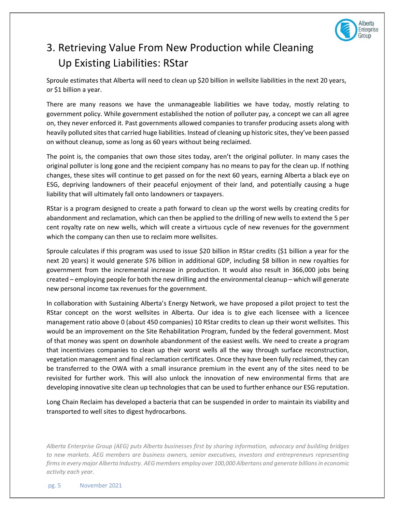

## 3. Retrieving Value From New Production while Cleaning Up Existing Liabilities: RStar

Sproule estimates that Alberta will need to clean up \$20 billion in wellsite liabilities in the next 20 years, or \$1 billion a year.

There are many reasons we have the unmanageable liabilities we have today, mostly relating to government policy. While government established the notion of polluter pay, a concept we can all agree on, they never enforced it. Past governments allowed companies to transfer producing assets along with heavily polluted sites that carried huge liabilities. Instead of cleaning up historic sites, they've been passed on without cleanup, some as long as 60 years without being reclaimed.

The point is, the companies that own those sites today, aren't the original polluter. In many cases the original polluter is long gone and the recipient company has no means to pay for the clean up. If nothing changes, these sites will continue to get passed on for the next 60 years, earning Alberta a black eye on ESG, depriving landowners of their peaceful enjoyment of their land, and potentially causing a huge liability that will ultimately fall onto landowners or taxpayers.

RStar is a program designed to create a path forward to clean up the worst wells by creating credits for abandonment and reclamation, which can then be applied to the drilling of new wells to extend the 5 per cent royalty rate on new wells, which will create a virtuous cycle of new revenues for the government which the company can then use to reclaim more wellsites.

Sproule calculates if this program was used to issue \$20 billion in RStar credits (\$1 billion a year for the next 20 years) it would generate \$76 billion in additional GDP, including \$8 billion in new royalties for government from the incremental increase in production. It would also result in 366,000 jobs being created – employing people for both the new drilling and the environmental cleanup – which will generate new personal income tax revenues for the government.

In collaboration with Sustaining Alberta's Energy Network, we have proposed a pilot project to test the RStar concept on the worst wellsites in Alberta. Our idea is to give each licensee with a licencee management ratio above 0 (about 450 companies) 10 RStar credits to clean up their worst wellsites. This would be an improvement on the Site Rehabilitation Program, funded by the federal government. Most of that money was spent on downhole abandonment of the easiest wells. We need to create a program that incentivizes companies to clean up their worst wells all the way through surface reconstruction, vegetation management and final reclamation certificates. Once they have been fully reclaimed, they can be transferred to the OWA with a small insurance premium in the event any of the sites need to be revisited for further work. This will also unlock the innovation of new environmental firms that are developing innovative site clean up technologies that can be used to further enhance our ESG reputation.

Long Chain Reclaim has developed a bacteria that can be suspended in order to maintain its viability and transported to well sites to digest hydrocarbons.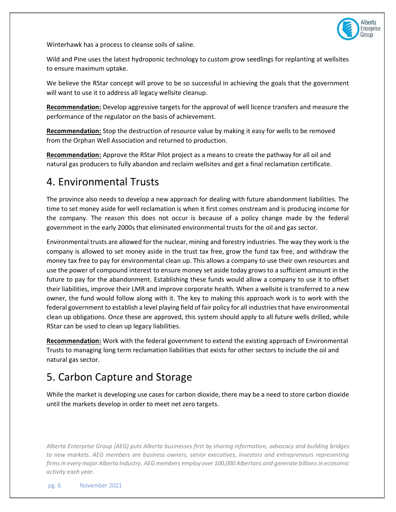

Winterhawk has a process to cleanse soils of saline.

Wild and Pine uses the latest hydroponic technology to custom grow seedlings for replanting at wellsites to ensure maximum uptake.

We believe the RStar concept will prove to be so successful in achieving the goals that the government will want to use it to address all legacy wellsite cleanup.

**Recommendation:** Develop aggressive targets for the approval of well licence transfers and measure the performance of the regulator on the basis of achievement.

**Recommendation:** Stop the destruction of resource value by making it easy for wells to be removed from the Orphan Well Association and returned to production.

**Recommendation:** Approve the RStar Pilot project as a means to create the pathway for all oil and natural gas producers to fully abandon and reclaim wellsites and get a final reclamation certificate.

#### 4. Environmental Trusts

The province also needs to develop a new approach for dealing with future abandonment liabilities. The time to set money aside for well reclamation is when it first comes onstream and is producing income for the company. The reason this does not occur is because of a policy change made by the federal government in the early 2000s that eliminated environmental trusts for the oil and gas sector.

Environmental trusts are allowed for the nuclear, mining and forestry industries. The way they work is the company is allowed to set money aside in the trust tax free, grow the fund tax free, and withdraw the money tax free to pay for environmental clean up. This allows a company to use their own resources and use the power of compound interest to ensure money set aside today grows to a sufficient amount in the future to pay for the abandonment. Establishing these funds would allow a company to use it to offset their liabilities, improve their LMR and improve corporate health. When a wellsite is transferred to a new owner, the fund would follow along with it. The key to making this approach work is to work with the federal government to establish a level playing field of fair policy for all industries that have environmental clean up obligations. Once these are approved, this system should apply to all future wells drilled, while RStar can be used to clean up legacy liabilities.

**Recommendation:** Work with the federal government to extend the existing approach of Environmental Trusts to managing long term reclamation liabilities that exists for other sectors to include the oil and natural gas sector.

### 5. Carbon Capture and Storage

While the market is developing use cases for carbon dioxide, there may be a need to store carbon dioxide until the markets develop in order to meet net zero targets.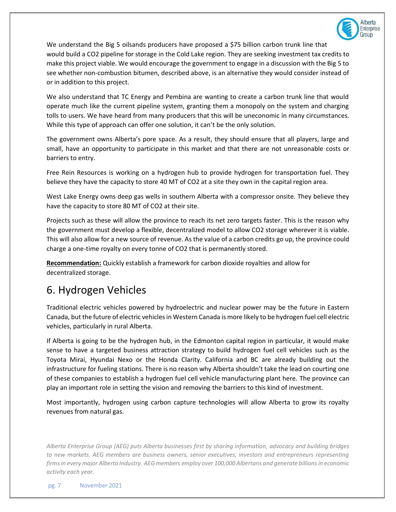

We understand the Big 5 oilsands producers have proposed a \$75 billion carbon trunk line that would build a CO2 pipeline for storage in the Cold Lake region. They are seeking investment tax credits to make this project viable. We would encourage the government to engage in a discussion with the Big 5 to see whether non-combustion bitumen, described above, is an alternative they would consider instead of or in addition to this project.

We also understand that TC Energy and Pembina are wanting to create a carbon trunk line that would operate much like the current pipeline system, granting them a monopoly on the system and charging tolls to users. We have heard from many producers that this will be uneconomic in many circumstances. While this type of approach can offer one solution, it can't be the only solution.

The government owns Alberta's pore space. As a result, they should ensure that all players, large and small, have an opportunity to participate in this market and that there are not unreasonable costs or barriers to entry.

Free Rein Resources is working on a hydrogen hub to provide hydrogen for transportation fuel. They believe they have the capacity to store 40 MT of CO2 at a site they own in the capital region area.

West Lake Energy owns deep gas wells in southern Alberta with a compressor onsite. They believe they have the capacity to store 80 MT of CO2 at their site.

Projects such as these will allow the province to reach its net zero targets faster. This is the reason why the government must develop a flexible, decentralized model to allow CO2 storage wherever it is viable. This will also allow for a new source of revenue. As the value of a carbon credits go up, the province could charge a one-time royalty on every tonne of CO2 that is permanently stored.

**Recommendation:** Quickly establish a framework for carbon dioxide royalties and allow for decentralized storage.

### 6. Hydrogen Vehicles

Traditional electric vehicles powered by hydroelectric and nuclear power may be the future in Eastern Canada, but the future of electric vehicles in Western Canada is more likely to be hydrogen fuel cell electric vehicles, particularly in rural Alberta.

If Alberta is going to be the hydrogen hub, in the Edmonton capital region in particular, it would make sense to have a targeted business attraction strategy to build hydrogen fuel cell vehicles such as the Toyota Mirai, Hyundai Nexo or the Honda Clarity. California and BC are already building out the infrastructure for fueling stations. There is no reason why Alberta shouldn't take the lead on courting one of these companies to establish a hydrogen fuel cell vehicle manufacturing plant here. The province can play an important role in setting the vision and removing the barriers to this kind of investment.

Most importantly, hydrogen using carbon capture technologies will allow Alberta to grow its royalty revenues from natural gas.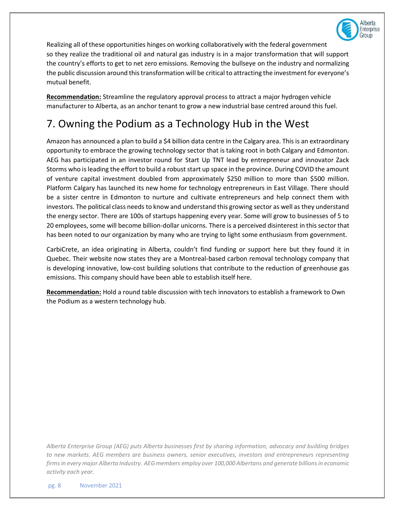

Realizing all of these opportunities hinges on working collaboratively with the federal government so they realize the traditional oil and natural gas industry is in a major transformation that will support the country's efforts to get to net zero emissions. Removing the bullseye on the industry and normalizing the public discussion around this transformation will be critical to attracting the investment for everyone's mutual benefit.

**Recommendation:** Streamline the regulatory approval process to attract a major hydrogen vehicle manufacturer to Alberta, as an anchor tenant to grow a new industrial base centred around this fuel.

## 7. Owning the Podium as a Technology Hub in the West

Amazon has announced a plan to build a \$4 billion data centre in the Calgary area. This is an extraordinary opportunity to embrace the growing technology sector that is taking root in both Calgary and Edmonton. AEG has participated in an investor round for Start Up TNT lead by entrepreneur and innovator Zack Storms who is leading the effort to build a robust start up space in the province. During COVID the amount of venture capital investment doubled from approximately \$250 million to more than \$500 million. Platform Calgary has launched its new home for technology entrepreneurs in East Village. There should be a sister centre in Edmonton to nurture and cultivate entrepreneurs and help connect them with investors. The political class needs to know and understand this growing sector as well as they understand the energy sector. There are 100s of startups happening every year. Some will grow to businesses of 5 to 20 employees, some will become billion-dollar unicorns. There is a perceived disinterest in this sector that has been noted to our organization by many who are trying to light some enthusiasm from government.

CarbiCrete, an idea originating in Alberta, couldn't find funding or support here but they found it in Quebec. Their website now states they are a Montreal-based carbon removal technology company that is developing innovative, low-cost building solutions that contribute to the reduction of greenhouse gas emissions. This company should have been able to establish itself here.

**Recommendation:** Hold a round table discussion with tech innovators to establish a framework to Own the Podium as a western technology hub.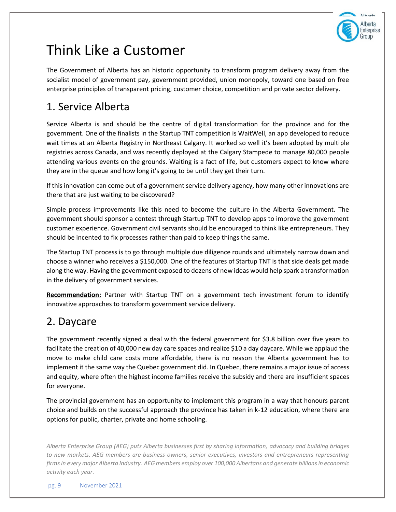

# Think Like a Customer

The Government of Alberta has an historic opportunity to transform program delivery away from the socialist model of government pay, government provided, union monopoly, toward one based on free enterprise principles of transparent pricing, customer choice, competition and private sector delivery.

### 1. Service Alberta

Service Alberta is and should be the centre of digital transformation for the province and for the government. One of the finalists in the Startup TNT competition is WaitWell, an app developed to reduce wait times at an Alberta Registry in Northeast Calgary. It worked so well it's been adopted by multiple registries across Canada, and was recently deployed at the Calgary Stampede to manage 80,000 people attending various events on the grounds. Waiting is a fact of life, but customers expect to know where they are in the queue and how long it's going to be until they get their turn.

If this innovation can come out of a government service delivery agency, how many other innovations are there that are just waiting to be discovered?

Simple process improvements like this need to become the culture in the Alberta Government. The government should sponsor a contest through Startup TNT to develop apps to improve the government customer experience. Government civil servants should be encouraged to think like entrepreneurs. They should be incented to fix processes rather than paid to keep things the same.

The Startup TNT process is to go through multiple due diligence rounds and ultimately narrow down and choose a winner who receives a \$150,000. One of the features of Startup TNT is that side deals get made along the way. Having the government exposed to dozens of new ideas would help spark a transformation in the delivery of government services.

**Recommendation:** Partner with Startup TNT on a government tech investment forum to identify innovative approaches to transform government service delivery.

### 2. Daycare

The government recently signed a deal with the federal government for \$3.8 billion over five years to facilitate the creation of 40,000 new day care spaces and realize \$10 a day daycare. While we applaud the move to make child care costs more affordable, there is no reason the Alberta government has to implement it the same way the Quebec government did. In Quebec, there remains a major issue of access and equity, where often the highest income families receive the subsidy and there are insufficient spaces for everyone.

The provincial government has an opportunity to implement this program in a way that honours parent choice and builds on the successful approach the province has taken in k-12 education, where there are options for public, charter, private and home schooling.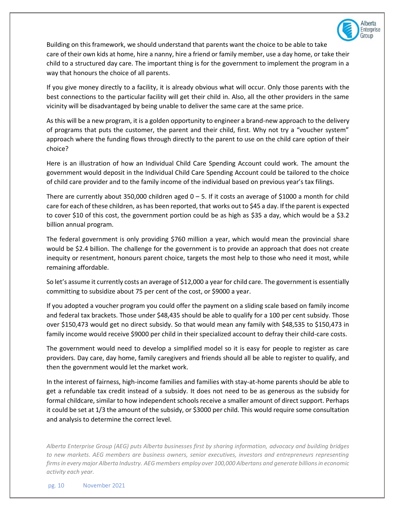

Building on this framework, we should understand that parents want the choice to be able to take care of their own kids at home, hire a nanny, hire a friend or family member, use a day home, or take their child to a structured day care. The important thing is for the government to implement the program in a way that honours the choice of all parents.

If you give money directly to a facility, it is already obvious what will occur. Only those parents with the best connections to the particular facility will get their child in. Also, all the other providers in the same vicinity will be disadvantaged by being unable to deliver the same care at the same price.

As this will be a new program, it is a golden opportunity to engineer a brand-new approach to the delivery of programs that puts the customer, the parent and their child, first. Why not try a "voucher system" approach where the funding flows through directly to the parent to use on the child care option of their choice?

Here is an illustration of how an Individual Child Care Spending Account could work. The amount the government would deposit in the Individual Child Care Spending Account could be tailored to the choice of child care provider and to the family income of the individual based on previous year's tax filings.

There are currently about 350,000 children aged  $0 - 5$ . If it costs an average of \$1000 a month for child care for each of these children, as has been reported, that works out to \$45 a day. If the parent is expected to cover \$10 of this cost, the government portion could be as high as \$35 a day, which would be a \$3.2 billion annual program.

The federal government is only providing \$760 million a year, which would mean the provincial share would be \$2.4 billion. The challenge for the government is to provide an approach that does not create inequity or resentment, honours parent choice, targets the most help to those who need it most, while remaining affordable.

So let's assume it currently costs an average of \$12,000 a year for child care. The government is essentially committing to subsidize about 75 per cent of the cost, or \$9000 a year.

If you adopted a voucher program you could offer the payment on a sliding scale based on family income and federal tax brackets. Those under \$48,435 should be able to qualify for a 100 per cent subsidy. Those over \$150,473 would get no direct subsidy. So that would mean any family with \$48,535 to \$150,473 in family income would receive \$9000 per child in their specialized account to defray their child-care costs.

The government would need to develop a simplified model so it is easy for people to register as care providers. Day care, day home, family caregivers and friends should all be able to register to qualify, and then the government would let the market work.

In the interest of fairness, high-income families and families with stay-at-home parents should be able to get a refundable tax credit instead of a subsidy. It does not need to be as generous as the subsidy for formal childcare, similar to how independent schools receive a smaller amount of direct support. Perhaps it could be set at 1/3 the amount of the subsidy, or \$3000 per child. This would require some consultation and analysis to determine the correct level.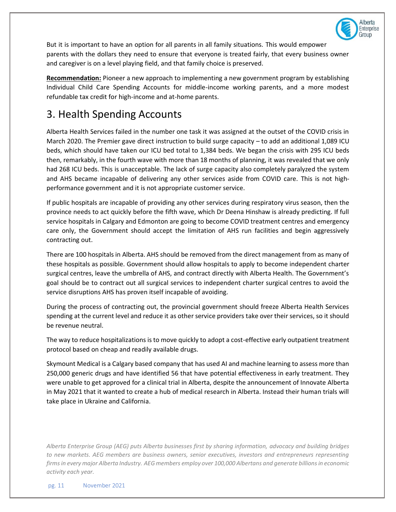

But it is important to have an option for all parents in all family situations. This would empower parents with the dollars they need to ensure that everyone is treated fairly, that every business owner and caregiver is on a level playing field, and that family choice is preserved.

**Recommendation:** Pioneer a new approach to implementing a new government program by establishing Individual Child Care Spending Accounts for middle-income working parents, and a more modest refundable tax credit for high-income and at-home parents.

### 3. Health Spending Accounts

Alberta Health Services failed in the number one task it was assigned at the outset of the COVID crisis in March 2020. The Premier gave direct instruction to build surge capacity – to add an additional 1,089 ICU beds, which should have taken our ICU bed total to 1,384 beds. We began the crisis with 295 ICU beds then, remarkably, in the fourth wave with more than 18 months of planning, it was revealed that we only had 268 ICU beds. This is unacceptable. The lack of surge capacity also completely paralyzed the system and AHS became incapable of delivering any other services aside from COVID care. This is not highperformance government and it is not appropriate customer service.

If public hospitals are incapable of providing any other services during respiratory virus season, then the province needs to act quickly before the fifth wave, which Dr Deena Hinshaw is already predicting. If full service hospitals in Calgary and Edmonton are going to become COVID treatment centres and emergency care only, the Government should accept the limitation of AHS run facilities and begin aggressively contracting out.

There are 100 hospitals in Alberta. AHS should be removed from the direct management from as many of these hospitals as possible. Government should allow hospitals to apply to become independent charter surgical centres, leave the umbrella of AHS, and contract directly with Alberta Health. The Government's goal should be to contract out all surgical services to independent charter surgical centres to avoid the service disruptions AHS has proven itself incapable of avoiding.

During the process of contracting out, the provincial government should freeze Alberta Health Services spending at the current level and reduce it as other service providers take over their services, so it should be revenue neutral.

The way to reduce hospitalizations is to move quickly to adopt a cost-effective early outpatient treatment protocol based on cheap and readily available drugs.

Skymount Medical is a Calgary based company that has used AI and machine learning to assess more than 250,000 generic drugs and have identified 56 that have potential effectiveness in early treatment. They were unable to get approved for a clinical trial in Alberta, despite the announcement of Innovate Alberta in May 2021 that it wanted to create a hub of medical research in Alberta. Instead their human trials will take place in Ukraine and California.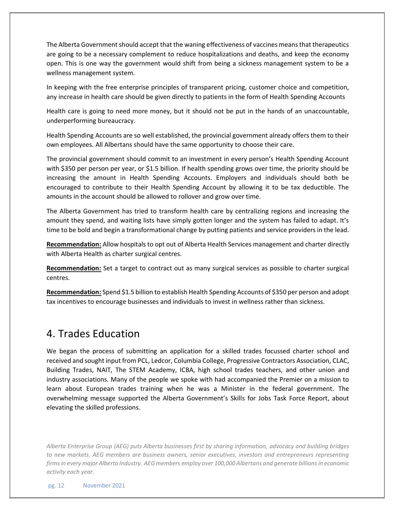The Alberta Government should accept that the waning effectiveness of vaccines means that therapeutics are going to be a necessary complement to reduce hospitalizations and deaths, and keep the economy open. This is one way the government would shift from being a sickness management system to be a wellness management system.

In keeping with the free enterprise principles of transparent pricing, customer choice and competition, any increase in health care should be given directly to patients in the form of Health Spending Accounts

Health care is going to need more money, but it should not be put in the hands of an unaccountable, underperforming bureaucracy.

Health Spending Accounts are so well established, the provincial government already offers them to their own employees. All Albertans should have the same opportunity to choose their care.

The provincial government should commit to an investment in every person's Health Spending Account with \$350 per person per year, or \$1.5 billion. If health spending grows over time, the priority should be increasing the amount in Health Spending Accounts. Employers and individuals should both be encouraged to contribute to their Health Spending Account by allowing it to be tax deductible. The amounts in the account should be allowed to rollover and grow over time.

The Alberta Government has tried to transform health care by centralizing regions and increasing the amount they spend, and waiting lists have simply gotten longer and the system has failed to adapt. It's time to be bold and begin a transformational change by putting patients and service providers in the lead.

**Recommendation:** Allow hospitals to opt out of Alberta Health Services management and charter directly with Alberta Health as charter surgical centres.

**Recommendation:** Set a target to contract out as many surgical services as possible to charter surgical centres.

**Recommendation:** Spend \$1.5 billion to establish Health Spending Accounts of \$350 per person and adopt tax incentives to encourage businesses and individuals to invest in wellness rather than sickness.

#### 4. Trades Education

We began the process of submitting an application for a skilled trades focussed charter school and received and sought input from PCL, Ledcor, Columbia College, Progressive Contractors Association, CLAC, Building Trades, NAIT, The STEM Academy, ICBA, high school trades teachers, and other union and industry associations. Many of the people we spoke with had accompanied the Premier on a mission to learn about European trades training when he was a Minister in the federal government. The overwhelming message supported the Alberta Government's Skills for Jobs Task Force Report, about elevating the skilled professions.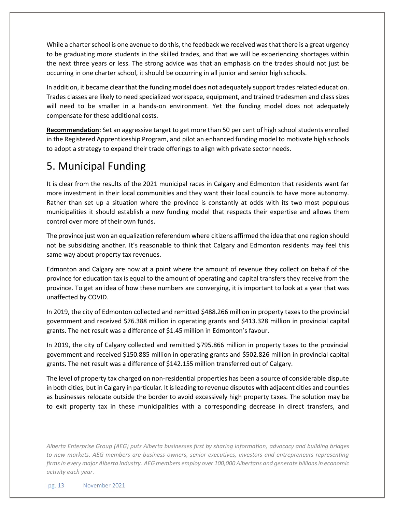While a charter school is one avenue to do this, the feedback we received was that there is a great urgency to be graduating more students in the skilled trades, and that we will be experiencing shortages within the next three years or less. The strong advice was that an emphasis on the trades should not just be occurring in one charter school, it should be occurring in all junior and senior high schools.

In addition, it became clear that the funding model does not adequately support trades related education. Trades classes are likely to need specialized workspace, equipment, and trained tradesmen and class sizes will need to be smaller in a hands-on environment. Yet the funding model does not adequately compensate for these additional costs.

**Recommendation**: Set an aggressive target to get more than 50 per cent of high school students enrolled in the Registered Apprenticeship Program, and pilot an enhanced funding model to motivate high schools to adopt a strategy to expand their trade offerings to align with private sector needs.

## 5. Municipal Funding

It is clear from the results of the 2021 municipal races in Calgary and Edmonton that residents want far more investment in their local communities and they want their local councils to have more autonomy. Rather than set up a situation where the province is constantly at odds with its two most populous municipalities it should establish a new funding model that respects their expertise and allows them control over more of their own funds.

The province just won an equalization referendum where citizens affirmed the idea that one region should not be subsidizing another. It's reasonable to think that Calgary and Edmonton residents may feel this same way about property tax revenues.

Edmonton and Calgary are now at a point where the amount of revenue they collect on behalf of the province for education tax is equal to the amount of operating and capital transfers they receive from the province. To get an idea of how these numbers are converging, it is important to look at a year that was unaffected by COVID.

In 2019, the city of Edmonton collected and remitted \$488.266 million in property taxes to the provincial government and received \$76.388 million in operating grants and \$413.328 million in provincial capital grants. The net result was a difference of \$1.45 million in Edmonton's favour.

In 2019, the city of Calgary collected and remitted \$795.866 million in property taxes to the provincial government and received \$150.885 million in operating grants and \$502.826 million in provincial capital grants. The net result was a difference of \$142.155 million transferred out of Calgary.

The level of property tax charged on non-residential properties has been a source of considerable dispute in both cities, but in Calgary in particular. It is leading to revenue disputes with adjacent cities and counties as businesses relocate outside the border to avoid excessively high property taxes. The solution may be to exit property tax in these municipalities with a corresponding decrease in direct transfers, and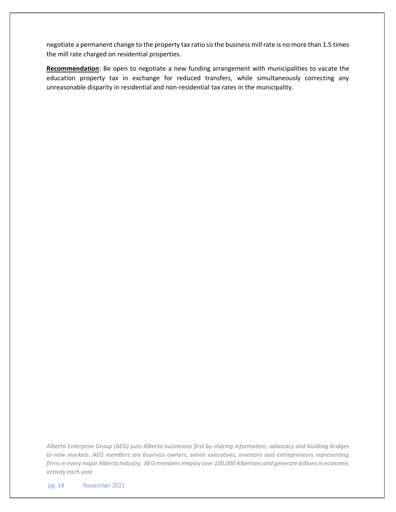negotiate a permanent change to the property tax ratio so the business mill rate is no more than 1.5 times the mill rate charged on residential properties.

**Recommendation**: Be open to negotiate a new funding arrangement with municipalities to vacate the education property tax in exchange for reduced transfers, while simultaneously correcting any unreasonable disparity in residential and non-residential tax rates in the municipality.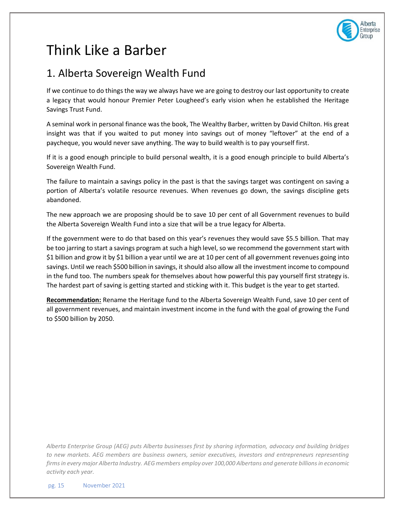

# Think Like a Barber

### 1. Alberta Sovereign Wealth Fund

If we continue to do things the way we always have we are going to destroy our last opportunity to create a legacy that would honour Premier Peter Lougheed's early vision when he established the Heritage Savings Trust Fund.

A seminal work in personal finance was the book, The Wealthy Barber, written by David Chilton. His great insight was that if you waited to put money into savings out of money "leftover" at the end of a paycheque, you would never save anything. The way to build wealth is to pay yourself first.

If it is a good enough principle to build personal wealth, it is a good enough principle to build Alberta's Sovereign Wealth Fund.

The failure to maintain a savings policy in the past is that the savings target was contingent on saving a portion of Alberta's volatile resource revenues. When revenues go down, the savings discipline gets abandoned.

The new approach we are proposing should be to save 10 per cent of all Government revenues to build the Alberta Sovereign Wealth Fund into a size that will be a true legacy for Alberta.

If the government were to do that based on this year's revenues they would save \$5.5 billion. That may be too jarring to start a savings program at such a high level, so we recommend the government start with \$1 billion and grow it by \$1 billion a year until we are at 10 per cent of all government revenues going into savings. Until we reach \$500 billion in savings, it should also allow all the investment income to compound in the fund too. The numbers speak for themselves about how powerful this pay yourself first strategy is. The hardest part of saving is getting started and sticking with it. This budget is the year to get started.

**Recommendation:** Rename the Heritage fund to the Alberta Sovereign Wealth Fund, save 10 per cent of all government revenues, and maintain investment income in the fund with the goal of growing the Fund to \$500 billion by 2050.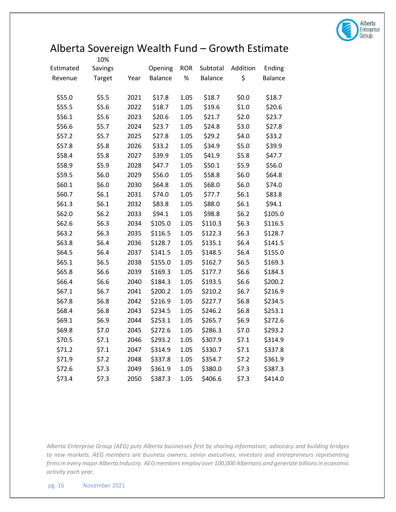

## Alberta Sovereign Wealth Fund – Growth Estimate

|           | 10%     |      |                |            |          |          |                |
|-----------|---------|------|----------------|------------|----------|----------|----------------|
| Estimated | Savings |      | Opening        | <b>ROR</b> | Subtotal | Addition | Ending         |
| Revenue   | Target  | Year | <b>Balance</b> | $\%$       | Balance  | \$       | <b>Balance</b> |
|           |         |      |                |            |          |          |                |
| \$55.0    | \$5.5   | 2021 | \$17.8         | 1.05       | \$18.7   | \$0.0\$  | \$18.7         |
| \$55.5    | \$5.6   | 2022 | \$18.7         | 1.05       | \$19.6   | \$1.0    | \$20.6         |
| \$56.1    | \$5.6   | 2023 | \$20.6         | 1.05       | \$21.7   | \$2.0    | \$23.7         |
| \$56.6    | \$5.7   | 2024 | \$23.7         | 1.05       | \$24.8   | \$3.0    | \$27.8         |
| \$57.2    | \$5.7   | 2025 | \$27.8         | 1.05       | \$29.2   | \$4.0    | \$33.2         |
| \$57.8    | \$5.8   | 2026 | \$33.2         | 1.05       | \$34.9   | \$5.0    | \$39.9         |
| \$58.4    | \$5.8   | 2027 | \$39.9         | 1.05       | \$41.9   | \$5.8    | \$47.7         |
| \$58.9    | \$5.9   | 2028 | \$47.7         | 1.05       | \$50.1   | \$5.9    | \$56.0         |
| \$59.5    | \$6.0   | 2029 | \$56.0         | 1.05       | \$58.8   | \$6.0    | \$64.8         |
| \$60.1    | \$6.0   | 2030 | \$64.8         | 1.05       | \$68.0   | \$6.0    | \$74.0         |
| \$60.7    | \$6.1   | 2031 | \$74.0         | 1.05       | \$77.7   | \$6.1    | \$83.8         |
| \$61.3    | \$6.1   | 2032 | \$83.8         | 1.05       | \$88.0   | \$6.1    | \$94.1         |
| \$62.0    | \$6.2   | 2033 | \$94.1         | 1.05       | \$98.8   | \$6.2\$  | \$105.0        |
| \$62.6    | \$6.3   | 2034 | \$105.0        | 1.05       | \$110.3  | \$6.3    | \$116.5        |
| \$63.2    | \$6.3   | 2035 | \$116.5        | 1.05       | \$122.3  | \$6.3    | \$128.7        |
| \$63.8    | \$6.4   | 2036 | \$128.7        | 1.05       | \$135.1  | \$6.4    | \$141.5        |
| \$64.5    | \$6.4   | 2037 | \$141.5        | 1.05       | \$148.5  | \$6.4    | \$155.0        |
| \$65.1    | \$6.5   | 2038 | \$155.0        | 1.05       | \$162.7  | \$6.5    | \$169.3        |
| \$65.8    | \$6.6   | 2039 | \$169.3        | 1.05       | \$177.7  | \$6.6    | \$184.3        |
| \$66.4    | \$6.6   | 2040 | \$184.3        | 1.05       | \$193.5  | \$6.6    | \$200.2        |
| \$67.1    | \$6.7   | 2041 | \$200.2        | 1.05       | \$210.2  | \$6.7    | \$216.9        |
| \$67.8    | \$6.8   | 2042 | \$216.9        | 1.05       | \$227.7  | \$6.8    | \$234.5        |
| \$68.4    | \$6.8   | 2043 | \$234.5        | 1.05       | \$246.2  | \$6.8    | \$253.1        |
| \$69.1    | \$6.9   | 2044 | \$253.1        | 1.05       | \$265.7  | \$6.9    | \$272.6        |
| \$69.8    | \$7.0   | 2045 | \$272.6        | 1.05       | \$286.3  | \$7.0    | \$293.2        |
| \$70.5    | \$7.1   | 2046 | \$293.2        | 1.05       | \$307.9  | \$7.1    | \$314.9        |
| \$71.2    | \$7.1   | 2047 | \$314.9        | 1.05       | \$330.7  | \$7.1    | \$337.8        |
| \$71.9    | \$7.2   | 2048 | \$337.8        | 1.05       | \$354.7  | \$7.2    | \$361.9        |
| \$72.6    | \$7.3   | 2049 | \$361.9        | 1.05       | \$380.0  | \$7.3    | \$387.3        |
| \$73.4    | \$7.3   | 2050 | \$387.3        | 1.05       | \$406.6  | \$7.3    | \$414.0        |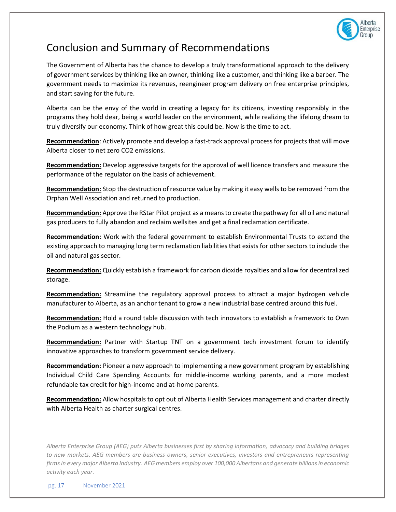

### Conclusion and Summary of Recommendations

The Government of Alberta has the chance to develop a truly transformational approach to the delivery of government services by thinking like an owner, thinking like a customer, and thinking like a barber. The government needs to maximize its revenues, reengineer program delivery on free enterprise principles, and start saving for the future.

Alberta can be the envy of the world in creating a legacy for its citizens, investing responsibly in the programs they hold dear, being a world leader on the environment, while realizing the lifelong dream to truly diversify our economy. Think of how great this could be. Now is the time to act.

**Recommendation**: Actively promote and develop a fast-track approval process for projects that will move Alberta closer to net zero CO2 emissions.

**Recommendation:** Develop aggressive targets for the approval of well licence transfers and measure the performance of the regulator on the basis of achievement.

**Recommendation:** Stop the destruction of resource value by making it easy wells to be removed from the Orphan Well Association and returned to production.

**Recommendation:** Approve the RStar Pilot project as a means to create the pathway for all oil and natural gas producers to fully abandon and reclaim wellsites and get a final reclamation certificate.

**Recommendation:** Work with the federal government to establish Environmental Trusts to extend the existing approach to managing long term reclamation liabilities that exists for other sectors to include the oil and natural gas sector.

**Recommendation:** Quickly establish a framework for carbon dioxide royalties and allow for decentralized storage.

**Recommendation:** Streamline the regulatory approval process to attract a major hydrogen vehicle manufacturer to Alberta, as an anchor tenant to grow a new industrial base centred around this fuel.

**Recommendation:** Hold a round table discussion with tech innovators to establish a framework to Own the Podium as a western technology hub.

**Recommendation:** Partner with Startup TNT on a government tech investment forum to identify innovative approaches to transform government service delivery.

**Recommendation:** Pioneer a new approach to implementing a new government program by establishing Individual Child Care Spending Accounts for middle-income working parents, and a more modest refundable tax credit for high-income and at-home parents.

**Recommendation:** Allow hospitals to opt out of Alberta Health Services management and charter directly with Alberta Health as charter surgical centres.